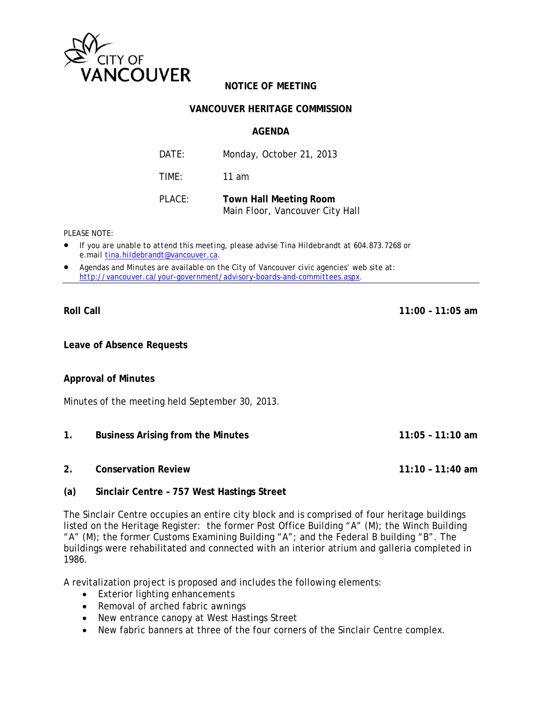

# **NOTICE OF MEETING**

#### **VANCOUVER HERITAGE COMMISSION**

#### **AGENDA**

| DATE:  | Monday, October 21, 2013                                         |
|--------|------------------------------------------------------------------|
| TIME:  | 11 am                                                            |
| PLACE: | <b>Town Hall Meeting Room</b><br>Main Floor, Vancouver City Hall |

*PLEASE NOTE:* 

- *If you are unable to attend this meeting, please advise Tina Hildebrandt at 604.873.7268 or e.mail tina.hildebrandt@vancouver.ca*.
- *Agendas and Minutes are available on the City of Vancouver civic agencies' web site at: http://vancouver.ca/your-government/advisory-boards-and-committees.aspx*.

**Roll Call 11:00 – 11:05 am** 

**Leave of Absence Requests** 

#### **Approval of Minutes**

Minutes of the meeting held September 30, 2013.

- **1. Business Arising from the Minutes 11:05 11:10 am**
- **2. Conservation Review 11:10 11:40 am**

# **(a) Sinclair Centre – 757 West Hastings Street**

The Sinclair Centre occupies an entire city block and is comprised of four heritage buildings listed on the Heritage Register: the former Post Office Building "A" (M); the Winch Building "A" (M); the former Customs Examining Building "A"; and the Federal B building "B". The buildings were rehabilitated and connected with an interior atrium and galleria completed in 1986.

A revitalization project is proposed and includes the following elements:

- Exterior lighting enhancements
- Removal of arched fabric awnings
- New entrance canopy at West Hastings Street
- New fabric banners at three of the four corners of the Sinclair Centre complex.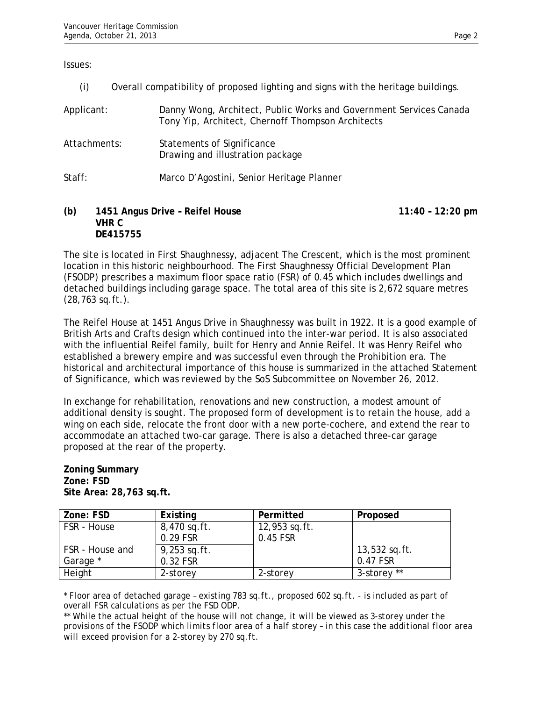Issues:

(i) Overall compatibility of proposed lighting and signs with the heritage buildings.

| Applicant:   | Danny Wong, Architect, Public Works and Government Services Canada<br>Tony Yip, Architect, Chernoff Thompson Architects |
|--------------|-------------------------------------------------------------------------------------------------------------------------|
| Attachments: | Statements of Significance<br>Drawing and illustration package                                                          |
| Staff:       | Marco D'Agostini, Senior Heritage Planner                                                                               |

#### **(b) 1451 Angus Drive – Reifel House 11:40 – 12:20 pm VHR C DE415755**

The site is located in First Shaughnessy, adjacent The Crescent, which is the most prominent location in this historic neighbourhood. The First Shaughnessy Official Development Plan (FSODP) prescribes a maximum floor space ratio (FSR) of 0.45 which includes dwellings and detached buildings including garage space. The total area of this site is 2,672 square metres (28,763 sq.ft.).

The Reifel House at 1451 Angus Drive in Shaughnessy was built in 1922. It is a good example of British Arts and Crafts design which continued into the inter-war period. It is also associated with the influential Reifel family, built for Henry and Annie Reifel. It was Henry Reifel who established a brewery empire and was successful even through the Prohibition era. The historical and architectural importance of this house is summarized in the attached Statement of Significance, which was reviewed by the SoS Subcommittee on November 26, 2012.

In exchange for rehabilitation, renovations and new construction, a modest amount of additional density is sought. The proposed form of development is to retain the house, add a wing on each side, relocate the front door with a new porte-cochere, and extend the rear to accommodate an attached two-car garage. There is also a detached three-car garage proposed at the rear of the property.

#### **Zoning Summary Zone: FSD Site Area: 28,763 sq.ft.**

| Zone: FSD       | Existing       | Permitted       | Proposed        |
|-----------------|----------------|-----------------|-----------------|
| FSR - House     | 8,470 sq.ft.   | $12,953$ sq.ft. |                 |
|                 | 0.29 FSR       | 0.45 FSR        |                 |
| FSR - House and | $9,253$ sq.ft. |                 | $13,532$ sq.ft. |
| Garage *        | 0.32 FSR       |                 | 0.47 FSR        |
| Height          | 2-storey       | 2-storey        | 3-storey **     |

*\* Floor area of detached garage – existing 783 sq.ft., proposed 602 sq.ft. - is included as part of overall FSR calculations as per the FSD ODP.* 

*\*\* While the actual height of the house will not change, it will be viewed as 3-storey under the provisions of the FSODP which limits floor area of a half storey – in this case the additional floor area will exceed provision for a 2-storey by 270 sq.ft.*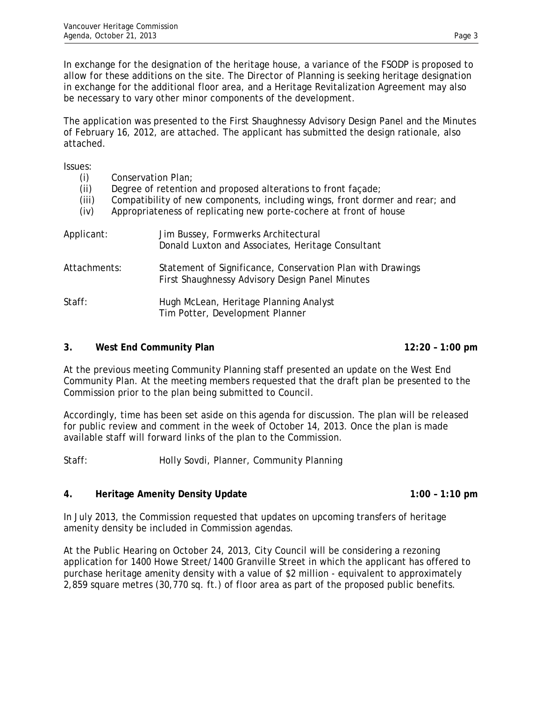In exchange for the designation of the heritage house, a variance of the FSODP is proposed to allow for these additions on the site. The Director of Planning is seeking heritage designation in exchange for the additional floor area, and a Heritage Revitalization Agreement may also be necessary to vary other minor components of the development.

The application was presented to the First Shaughnessy Advisory Design Panel and the Minutes of February 16, 2012, are attached. The applicant has submitted the design rationale, also attached.

Issues:

| (i)<br>(ii)<br>(iii)<br>(iv) | Conservation Plan;<br>Degree of retention and proposed alterations to front façade;<br>Compatibility of new components, including wings, front dormer and rear; and<br>Appropriateness of replicating new porte-cochere at front of house |  |
|------------------------------|-------------------------------------------------------------------------------------------------------------------------------------------------------------------------------------------------------------------------------------------|--|
| Applicant:                   | Jim Bussey, Formwerks Architectural<br>Donald Luxton and Associates, Heritage Consultant                                                                                                                                                  |  |
| Attachments:                 | Statement of Significance, Conservation Plan with Drawings<br>First Shaughnessy Advisory Design Panel Minutes                                                                                                                             |  |
| Staff:                       | Hugh McLean, Heritage Planning Analyst<br>Tim Potter, Development Planner                                                                                                                                                                 |  |

# **3.** West End Community Plan **12:20 – 1:00 pm**

At the previous meeting Community Planning staff presented an update on the West End Community Plan. At the meeting members requested that the draft plan be presented to the Commission prior to the plan being submitted to Council.

Accordingly, time has been set aside on this agenda for discussion. The plan will be released for public review and comment in the week of October 14, 2013. Once the plan is made available staff will forward links of the plan to the Commission.

Staff: Holly Sovdi, Planner, Community Planning

# **4.** Heritage Amenity Density Update 1:00 – 1:10 pm

In July 2013, the Commission requested that updates on upcoming transfers of heritage amenity density be included in Commission agendas.

At the Public Hearing on October 24, 2013, City Council will be considering a rezoning application for 1400 Howe Street/1400 Granville Street in which the applicant has offered to purchase heritage amenity density with a value of \$2 million - equivalent to approximately 2,859 square metres (30,770 sq. ft.) of floor area as part of the proposed public benefits.